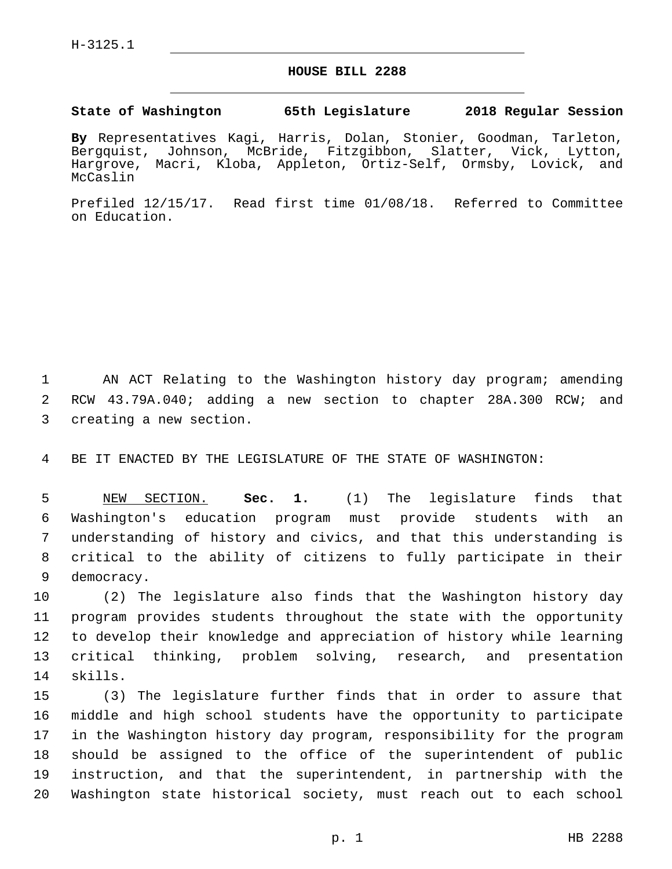## **HOUSE BILL 2288**

## **State of Washington 65th Legislature 2018 Regular Session**

**By** Representatives Kagi, Harris, Dolan, Stonier, Goodman, Tarleton, Bergquist, Johnson, McBride, Fitzgibbon, Slatter, Vick, Lytton, Hargrove, Macri, Kloba, Appleton, Ortiz-Self, Ormsby, Lovick, and McCaslin

Prefiled 12/15/17. Read first time 01/08/18. Referred to Committee on Education.

1 AN ACT Relating to the Washington history day program; amending 2 RCW 43.79A.040; adding a new section to chapter 28A.300 RCW; and 3 creating a new section.

4 BE IT ENACTED BY THE LEGISLATURE OF THE STATE OF WASHINGTON:

 NEW SECTION. **Sec. 1.** (1) The legislature finds that Washington's education program must provide students with an understanding of history and civics, and that this understanding is critical to the ability of citizens to fully participate in their democracy.

 (2) The legislature also finds that the Washington history day program provides students throughout the state with the opportunity to develop their knowledge and appreciation of history while learning critical thinking, problem solving, research, and presentation 14 skills.

 (3) The legislature further finds that in order to assure that middle and high school students have the opportunity to participate in the Washington history day program, responsibility for the program should be assigned to the office of the superintendent of public instruction, and that the superintendent, in partnership with the Washington state historical society, must reach out to each school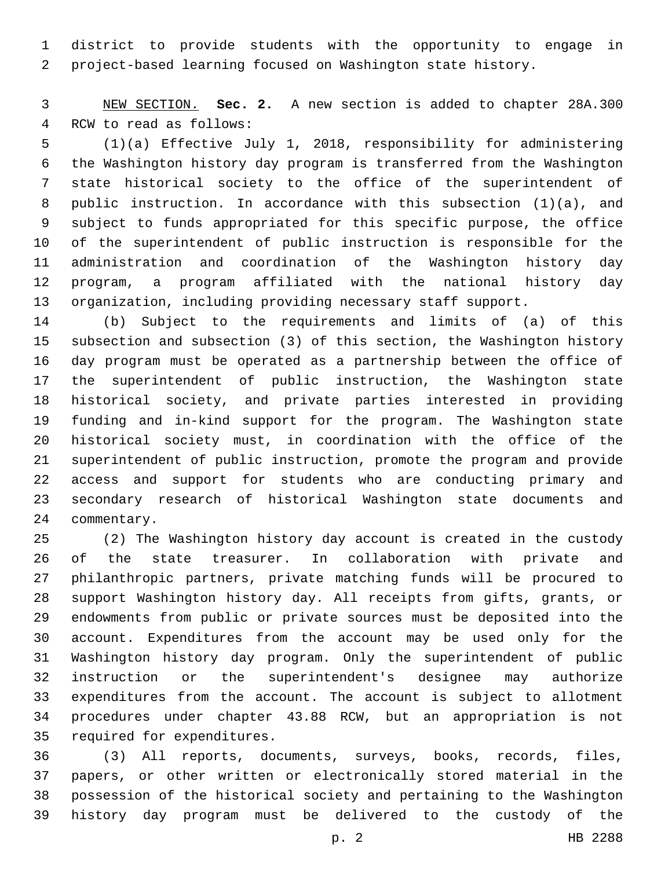district to provide students with the opportunity to engage in project-based learning focused on Washington state history.

 NEW SECTION. **Sec. 2.** A new section is added to chapter 28A.300 4 RCW to read as follows:

 (1)(a) Effective July 1, 2018, responsibility for administering the Washington history day program is transferred from the Washington state historical society to the office of the superintendent of public instruction. In accordance with this subsection (1)(a), and subject to funds appropriated for this specific purpose, the office of the superintendent of public instruction is responsible for the administration and coordination of the Washington history day program, a program affiliated with the national history day organization, including providing necessary staff support.

 (b) Subject to the requirements and limits of (a) of this subsection and subsection (3) of this section, the Washington history day program must be operated as a partnership between the office of the superintendent of public instruction, the Washington state historical society, and private parties interested in providing funding and in-kind support for the program. The Washington state historical society must, in coordination with the office of the superintendent of public instruction, promote the program and provide access and support for students who are conducting primary and secondary research of historical Washington state documents and 24 commentary.

 (2) The Washington history day account is created in the custody of the state treasurer. In collaboration with private and philanthropic partners, private matching funds will be procured to support Washington history day. All receipts from gifts, grants, or endowments from public or private sources must be deposited into the account. Expenditures from the account may be used only for the Washington history day program. Only the superintendent of public instruction or the superintendent's designee may authorize expenditures from the account. The account is subject to allotment procedures under chapter 43.88 RCW, but an appropriation is not 35 required for expenditures.

 (3) All reports, documents, surveys, books, records, files, papers, or other written or electronically stored material in the possession of the historical society and pertaining to the Washington history day program must be delivered to the custody of the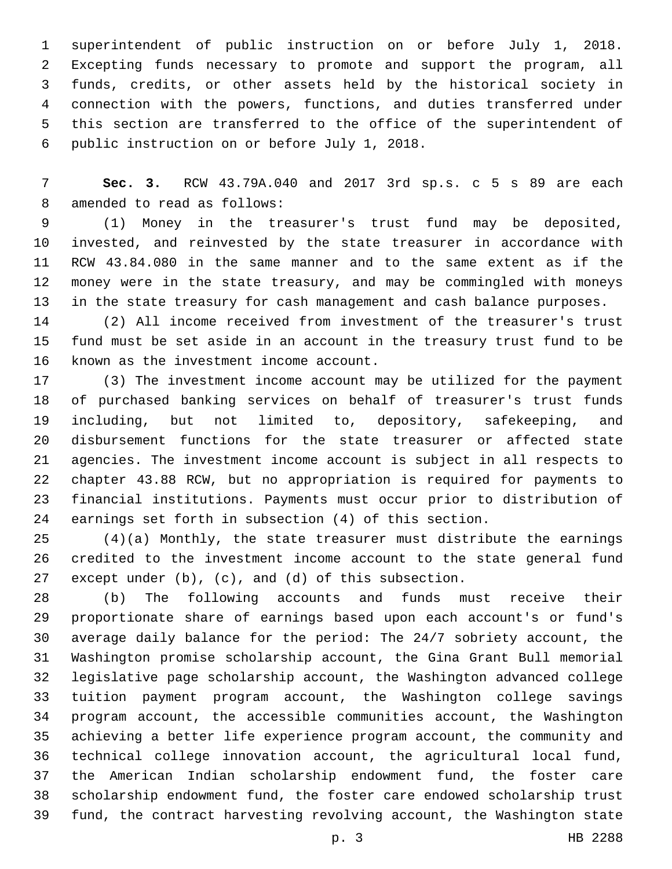superintendent of public instruction on or before July 1, 2018. Excepting funds necessary to promote and support the program, all funds, credits, or other assets held by the historical society in connection with the powers, functions, and duties transferred under this section are transferred to the office of the superintendent of 6 public instruction on or before July 1, 2018.

 **Sec. 3.** RCW 43.79A.040 and 2017 3rd sp.s. c 5 s 89 are each 8 amended to read as follows:

 (1) Money in the treasurer's trust fund may be deposited, invested, and reinvested by the state treasurer in accordance with RCW 43.84.080 in the same manner and to the same extent as if the money were in the state treasury, and may be commingled with moneys in the state treasury for cash management and cash balance purposes.

 (2) All income received from investment of the treasurer's trust fund must be set aside in an account in the treasury trust fund to be 16 known as the investment income account.

 (3) The investment income account may be utilized for the payment of purchased banking services on behalf of treasurer's trust funds including, but not limited to, depository, safekeeping, and disbursement functions for the state treasurer or affected state agencies. The investment income account is subject in all respects to chapter 43.88 RCW, but no appropriation is required for payments to financial institutions. Payments must occur prior to distribution of earnings set forth in subsection (4) of this section.

 (4)(a) Monthly, the state treasurer must distribute the earnings credited to the investment income account to the state general fund except under (b), (c), and (d) of this subsection.

 (b) The following accounts and funds must receive their proportionate share of earnings based upon each account's or fund's average daily balance for the period: The 24/7 sobriety account, the Washington promise scholarship account, the Gina Grant Bull memorial legislative page scholarship account, the Washington advanced college tuition payment program account, the Washington college savings program account, the accessible communities account, the Washington achieving a better life experience program account, the community and technical college innovation account, the agricultural local fund, the American Indian scholarship endowment fund, the foster care scholarship endowment fund, the foster care endowed scholarship trust fund, the contract harvesting revolving account, the Washington state

p. 3 HB 2288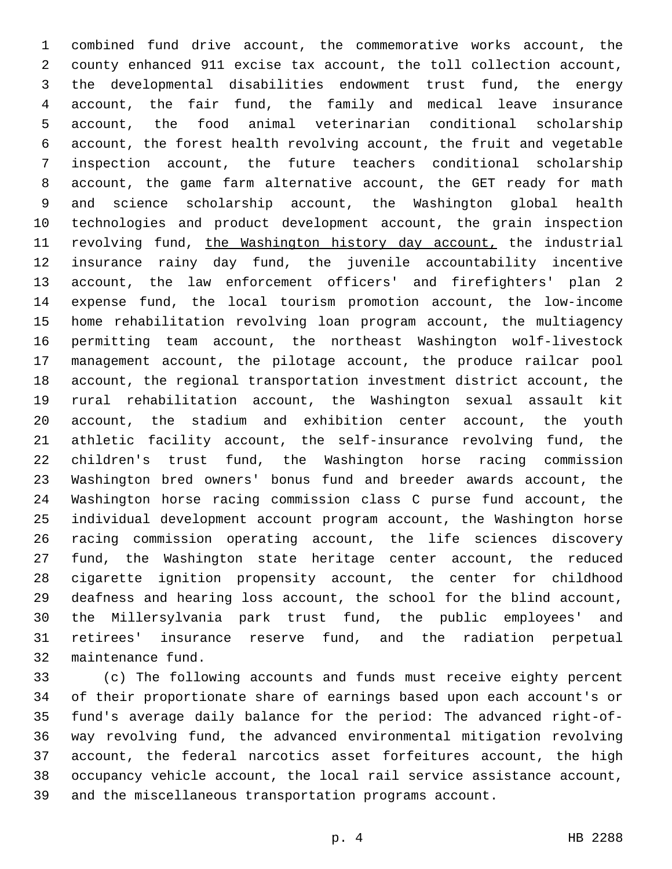combined fund drive account, the commemorative works account, the county enhanced 911 excise tax account, the toll collection account, the developmental disabilities endowment trust fund, the energy account, the fair fund, the family and medical leave insurance account, the food animal veterinarian conditional scholarship account, the forest health revolving account, the fruit and vegetable inspection account, the future teachers conditional scholarship account, the game farm alternative account, the GET ready for math and science scholarship account, the Washington global health technologies and product development account, the grain inspection 11 revolving fund, the Washington history day account, the industrial insurance rainy day fund, the juvenile accountability incentive account, the law enforcement officers' and firefighters' plan 2 expense fund, the local tourism promotion account, the low-income home rehabilitation revolving loan program account, the multiagency permitting team account, the northeast Washington wolf-livestock management account, the pilotage account, the produce railcar pool account, the regional transportation investment district account, the rural rehabilitation account, the Washington sexual assault kit account, the stadium and exhibition center account, the youth athletic facility account, the self-insurance revolving fund, the children's trust fund, the Washington horse racing commission Washington bred owners' bonus fund and breeder awards account, the Washington horse racing commission class C purse fund account, the individual development account program account, the Washington horse racing commission operating account, the life sciences discovery fund, the Washington state heritage center account, the reduced cigarette ignition propensity account, the center for childhood deafness and hearing loss account, the school for the blind account, the Millersylvania park trust fund, the public employees' and retirees' insurance reserve fund, and the radiation perpetual 32 maintenance fund.

 (c) The following accounts and funds must receive eighty percent of their proportionate share of earnings based upon each account's or fund's average daily balance for the period: The advanced right-of- way revolving fund, the advanced environmental mitigation revolving account, the federal narcotics asset forfeitures account, the high occupancy vehicle account, the local rail service assistance account, and the miscellaneous transportation programs account.